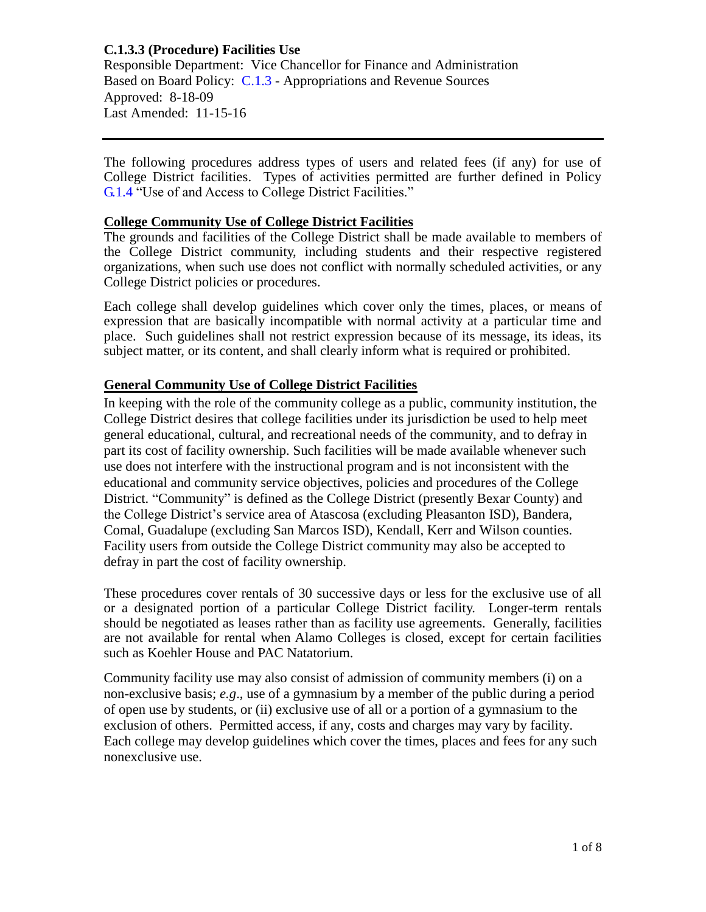Responsible Department: Vice Chancellor for Finance and Administration Based on Board Policy: [C.1.3](https://www.alamo.edu/siteassets/district/about-us/leadership/board-of-trustees/policies-pdfs/section-c/c.1.3-policy.pdf) - Appropriations and Revenue Sources Approved: 8-18-09 Last Amended: 11-15-16

The following procedures address types of users and related fees (if any) for use of College District facilities. Types of activities permitted are further defined in Policy [G.1.4](https://www.alamo.edu/siteassets/district/about-us/leadership/board-of-trustees/policies-pdfs/section-g/g.1.4-policy2.pdf) "Use of and Access to College District Facilities."

#### **College Community Use of College District Facilities**

The grounds and facilities of the College District shall be made available to members of the College District community, including students and their respective registered organizations, when such use does not conflict with normally scheduled activities, or any College District policies or procedures.

Each college shall develop guidelines which cover only the times, places, or means of expression that are basically incompatible with normal activity at a particular time and place. Such guidelines shall not restrict expression because of its message, its ideas, its subject matter, or its content, and shall clearly inform what is required or prohibited.

## **General Community Use of College District Facilities**

In keeping with the role of the community college as a public, community institution, the College District desires that college facilities under its jurisdiction be used to help meet general educational, cultural, and recreational needs of the community, and to defray in part its cost of facility ownership. Such facilities will be made available whenever such use does not interfere with the instructional program and is not inconsistent with the educational and community service objectives, policies and procedures of the College District. "Community" is defined as the College District (presently Bexar County) and the College District's service area of Atascosa (excluding Pleasanton ISD), Bandera, Comal, Guadalupe (excluding San Marcos ISD), Kendall, Kerr and Wilson counties. Facility users from outside the College District community may also be accepted to defray in part the cost of facility ownership.

These procedures cover rentals of 30 successive days or less for the exclusive use of all or a designated portion of a particular College District facility. Longer-term rentals should be negotiated as leases rather than as facility use agreements. Generally, facilities are not available for rental when Alamo Colleges is closed, except for certain facilities such as Koehler House and PAC Natatorium.

Community facility use may also consist of admission of community members (i) on a non-exclusive basis; *e.g*., use of a gymnasium by a member of the public during a period of open use by students, or (ii) exclusive use of all or a portion of a gymnasium to the exclusion of others. Permitted access, if any, costs and charges may vary by facility. Each college may develop guidelines which cover the times, places and fees for any such nonexclusive use.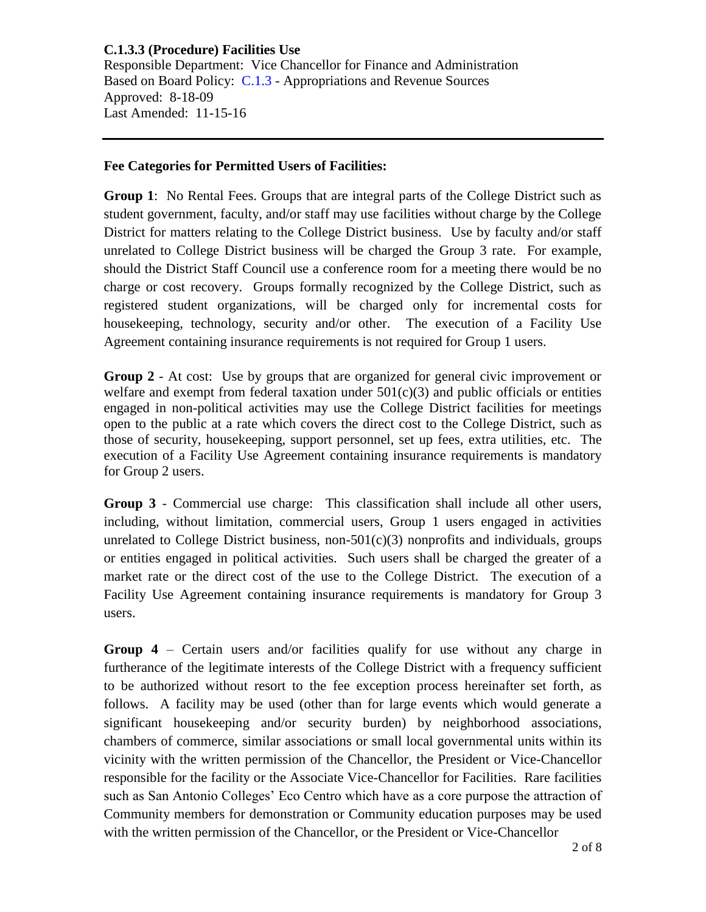Responsible Department: Vice Chancellor for Finance and Administration Based on Board Policy: [C.1.3](https://www.alamo.edu/siteassets/district/about-us/leadership/board-of-trustees/policies-pdfs/section-c/c.1.3-policy.pdf) - Appropriations and Revenue Sources Approved: 8-18-09 Last Amended: 11-15-16

#### **Fee Categories for Permitted Users of Facilities:**

**Group 1**: No Rental Fees. Groups that are integral parts of the College District such as student government, faculty, and/or staff may use facilities without charge by the College District for matters relating to the College District business. Use by faculty and/or staff unrelated to College District business will be charged the Group 3 rate. For example, should the District Staff Council use a conference room for a meeting there would be no charge or cost recovery. Groups formally recognized by the College District, such as registered student organizations, will be charged only for incremental costs for housekeeping, technology, security and/or other. The execution of a Facility Use Agreement containing insurance requirements is not required for Group 1 users.

**Group 2** - At cost: Use by groups that are organized for general civic improvement or welfare and exempt from federal taxation under  $501(c)(3)$  and public officials or entities engaged in non-political activities may use the College District facilities for meetings open to the public at a rate which covers the direct cost to the College District, such as those of security, housekeeping, support personnel, set up fees, extra utilities, etc. The execution of a Facility Use Agreement containing insurance requirements is mandatory for Group 2 users.

**Group 3** - Commercial use charge: This classification shall include all other users, including, without limitation, commercial users, Group 1 users engaged in activities unrelated to College District business, non- $501(c)(3)$  nonprofits and individuals, groups or entities engaged in political activities. Such users shall be charged the greater of a market rate or the direct cost of the use to the College District. The execution of a Facility Use Agreement containing insurance requirements is mandatory for Group 3 users.

**Group 4** – Certain users and/or facilities qualify for use without any charge in furtherance of the legitimate interests of the College District with a frequency sufficient to be authorized without resort to the fee exception process hereinafter set forth, as follows. A facility may be used (other than for large events which would generate a significant housekeeping and/or security burden) by neighborhood associations, chambers of commerce, similar associations or small local governmental units within its vicinity with the written permission of the Chancellor, the President or Vice-Chancellor responsible for the facility or the Associate Vice-Chancellor for Facilities. Rare facilities such as San Antonio Colleges' Eco Centro which have as a core purpose the attraction of Community members for demonstration or Community education purposes may be used with the written permission of the Chancellor, or the President or Vice-Chancellor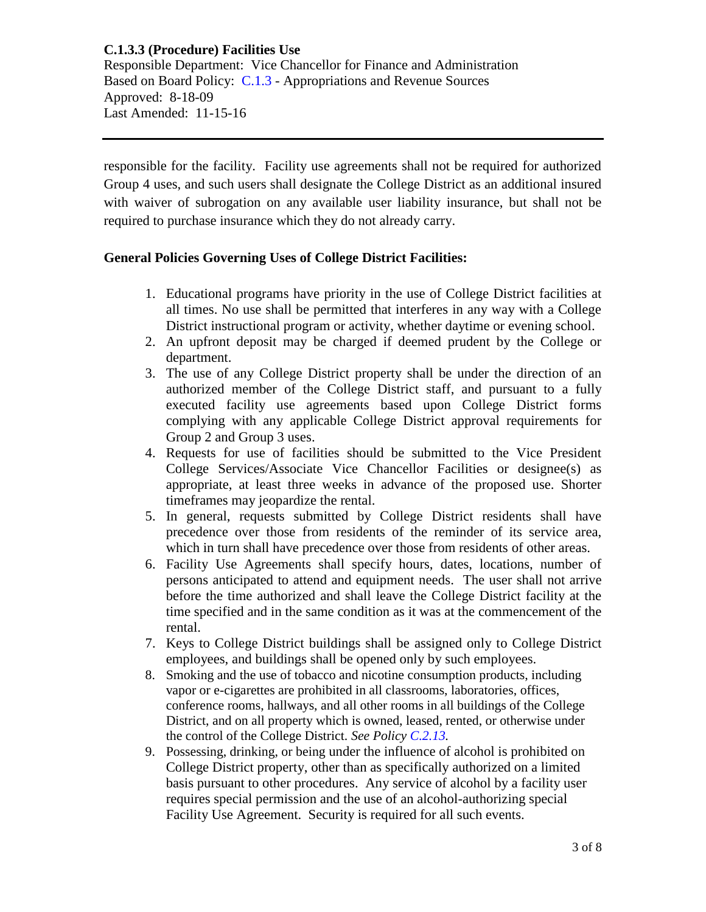Responsible Department: Vice Chancellor for Finance and Administration Based on Board Policy: [C.1.3](https://www.alamo.edu/siteassets/district/about-us/leadership/board-of-trustees/policies-pdfs/section-c/c.1.3-policy.pdf) - Appropriations and Revenue Sources Approved: 8-18-09 Last Amended: 11-15-16

responsible for the facility. Facility use agreements shall not be required for authorized Group 4 uses, and such users shall designate the College District as an additional insured with waiver of subrogation on any available user liability insurance, but shall not be required to purchase insurance which they do not already carry.

#### **General Policies Governing Uses of College District Facilities:**

- 1. Educational programs have priority in the use of College District facilities at all times. No use shall be permitted that interferes in any way with a College District instructional program or activity, whether daytime or evening school.
- 2. An upfront deposit may be charged if deemed prudent by the College or department.
- 3. The use of any College District property shall be under the direction of an authorized member of the College District staff, and pursuant to a fully executed facility use agreements based upon College District forms complying with any applicable College District approval requirements for Group 2 and Group 3 uses.
- 4. Requests for use of facilities should be submitted to the Vice President College Services/Associate Vice Chancellor Facilities or designee(s) as appropriate, at least three weeks in advance of the proposed use. Shorter timeframes may jeopardize the rental.
- 5. In general, requests submitted by College District residents shall have precedence over those from residents of the reminder of its service area, which in turn shall have precedence over those from residents of other areas.
- 6. Facility Use Agreements shall specify hours, dates, locations, number of persons anticipated to attend and equipment needs. The user shall not arrive before the time authorized and shall leave the College District facility at the time specified and in the same condition as it was at the commencement of the rental.
- 7. Keys to College District buildings shall be assigned only to College District employees, and buildings shall be opened only by such employees.
- 8. Smoking and the use of tobacco and nicotine consumption products, including vapor or e-cigarettes are prohibited in all classrooms, laboratories, offices, conference rooms, hallways, and all other rooms in all buildings of the College District, and on all property which is owned, leased, rented, or otherwise under the control of the College District. *See Policy [C.2.13.](https://www.alamo.edu/siteassets/district/about-us/leadership/board-of-trustees/policies-pdfs/section-c/c.2.13-policy.pdf)*
- 9. Possessing, drinking, or being under the influence of alcohol is prohibited on College District property, other than as specifically authorized on a limited basis pursuant to other procedures. Any service of alcohol by a facility user requires special permission and the use of an alcohol-authorizing special Facility Use Agreement. Security is required for all such events.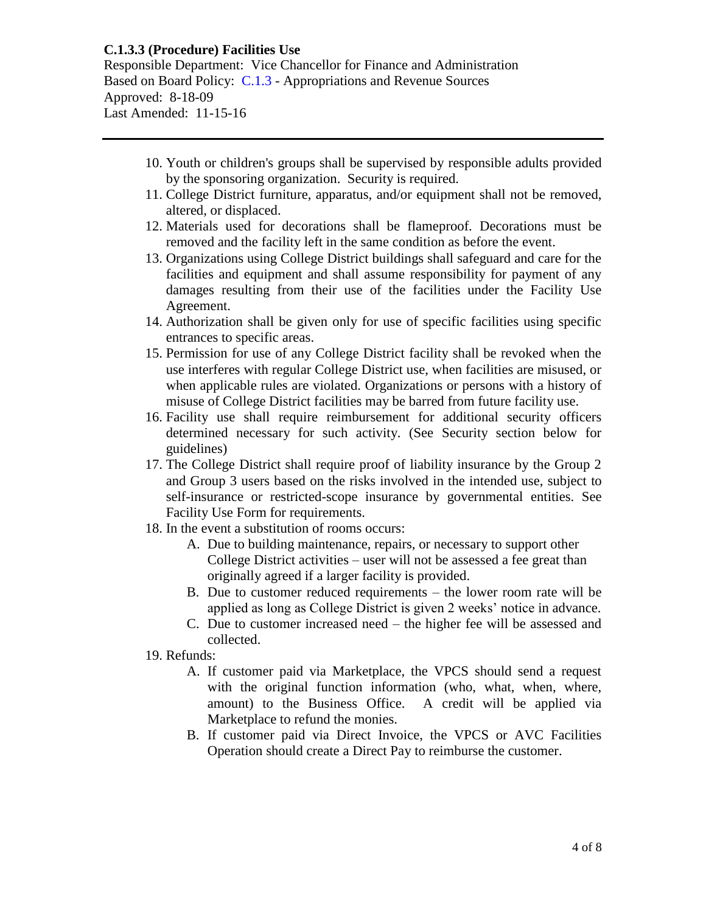Responsible Department: Vice Chancellor for Finance and Administration Based on Board Policy: [C.1.3](https://www.alamo.edu/siteassets/district/about-us/leadership/board-of-trustees/policies-pdfs/section-c/c.1.3-policy.pdf) - Appropriations and Revenue Sources Approved: 8-18-09 Last Amended: 11-15-16

- 10. Youth or children's groups shall be supervised by responsible adults provided by the sponsoring organization. Security is required.
- 11. College District furniture, apparatus, and/or equipment shall not be removed, altered, or displaced.
- 12. Materials used for decorations shall be flameproof. Decorations must be removed and the facility left in the same condition as before the event.
- 13. Organizations using College District buildings shall safeguard and care for the facilities and equipment and shall assume responsibility for payment of any damages resulting from their use of the facilities under the Facility Use Agreement.
- 14. Authorization shall be given only for use of specific facilities using specific entrances to specific areas.
- 15. Permission for use of any College District facility shall be revoked when the use interferes with regular College District use, when facilities are misused, or when applicable rules are violated. Organizations or persons with a history of misuse of College District facilities may be barred from future facility use.
- 16. Facility use shall require reimbursement for additional security officers determined necessary for such activity. (See Security section below for guidelines)
- 17. The College District shall require proof of liability insurance by the Group 2 and Group 3 users based on the risks involved in the intended use, subject to self-insurance or restricted-scope insurance by governmental entities. See Facility Use Form for requirements.
- 18. In the event a substitution of rooms occurs:
	- A. Due to building maintenance, repairs, or necessary to support other College District activities – user will not be assessed a fee great than originally agreed if a larger facility is provided.
	- B. Due to customer reduced requirements the lower room rate will be applied as long as College District is given 2 weeks' notice in advance.
	- C. Due to customer increased need the higher fee will be assessed and collected.
- 19. Refunds:
	- A. If customer paid via Marketplace, the VPCS should send a request with the original function information (who, what, when, where, amount) to the Business Office. A credit will be applied via Marketplace to refund the monies.
	- B. If customer paid via Direct Invoice, the VPCS or AVC Facilities Operation should create a Direct Pay to reimburse the customer.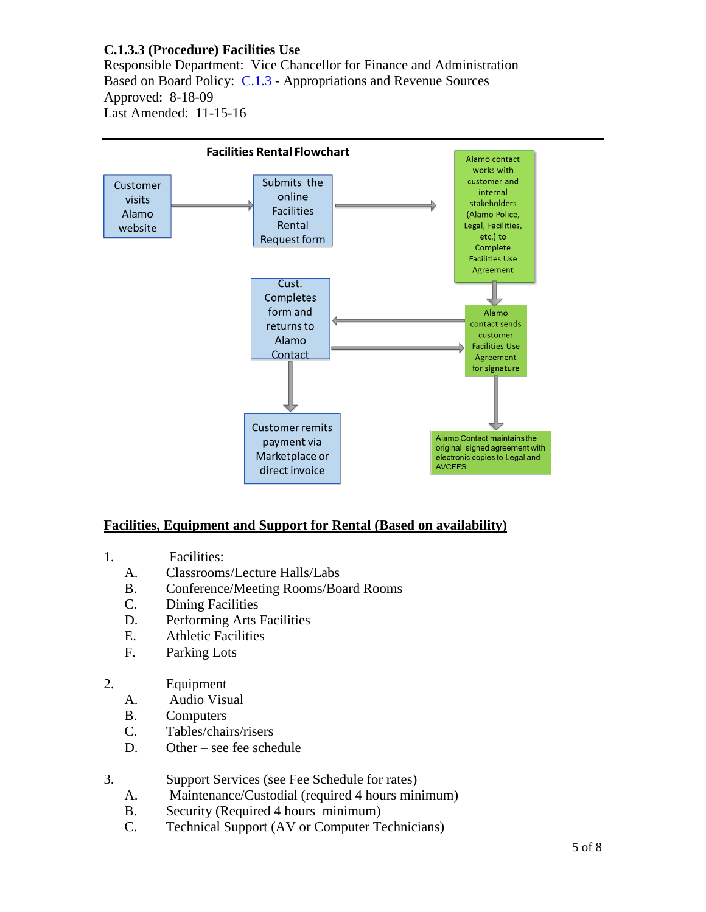Responsible Department: Vice Chancellor for Finance and Administration Based on Board Policy: [C.1.3](https://www.alamo.edu/siteassets/district/about-us/leadership/board-of-trustees/policies-pdfs/section-c/c.1.3-policy.pdf) - Appropriations and Revenue Sources Approved: 8-18-09 Last Amended: 11-15-16



### **Facilities, Equipment and Support for Rental (Based on availability)**

- 1. Facilities:
	- A. Classrooms/Lecture Halls/Labs
	- B. Conference/Meeting Rooms/Board Rooms
	- C. Dining Facilities
	- D. Performing Arts Facilities
	- E. Athletic Facilities
	- F. Parking Lots
- 2. Equipment
	- A. Audio Visual
	- B. Computers
	- C. Tables/chairs/risers
	- D. Other see fee schedule

### 3. Support Services (see Fee Schedule for rates)

- A. Maintenance/Custodial (required 4 hours minimum)
- B. Security (Required 4 hours minimum)
- C. Technical Support (AV or Computer Technicians)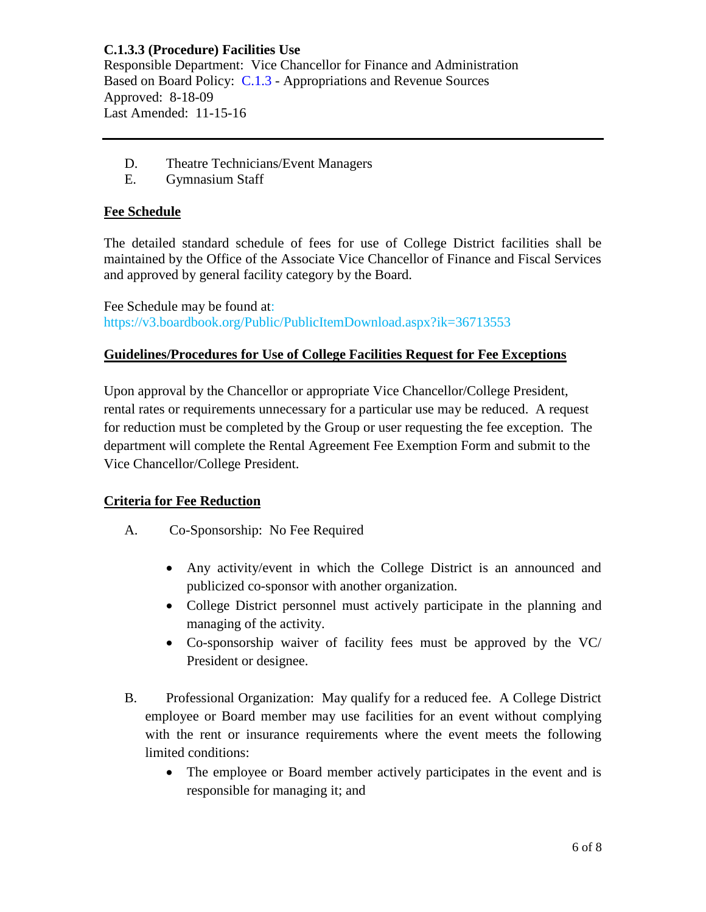Responsible Department: Vice Chancellor for Finance and Administration Based on Board Policy: [C.1.3](https://www.alamo.edu/siteassets/district/about-us/leadership/board-of-trustees/policies-pdfs/section-c/c.1.3-policy.pdf) - Appropriations and Revenue Sources Approved: 8-18-09 Last Amended: 11-15-16

- D. Theatre Technicians/Event Managers
- E. Gymnasium Staff

## **Fee Schedule**

The detailed standard schedule of fees for use of College District facilities shall be maintained by the Office of the Associate Vice Chancellor of Finance and Fiscal Services and approved by general facility category by the Board.

Fee Schedule may be found at: https://v3.boardbook.org/Public/PublicItemDownload.aspx?ik=36713553

## **Guidelines/Procedures for Use of College Facilities Request for Fee Exceptions**

Upon approval by the Chancellor or appropriate Vice Chancellor/College President, rental rates or requirements unnecessary for a particular use may be reduced. A request for reduction must be completed by the Group or user requesting the fee exception. The department will complete the Rental Agreement Fee Exemption Form and submit to the Vice Chancellor/College President.

### **Criteria for Fee Reduction**

- A. Co-Sponsorship: No Fee Required
	- Any activity/event in which the College District is an announced and publicized co-sponsor with another organization.
	- College District personnel must actively participate in the planning and managing of the activity.
	- Co-sponsorship waiver of facility fees must be approved by the VC/ President or designee.
- B. Professional Organization: May qualify for a reduced fee. A College District employee or Board member may use facilities for an event without complying with the rent or insurance requirements where the event meets the following limited conditions:
	- The employee or Board member actively participates in the event and is responsible for managing it; and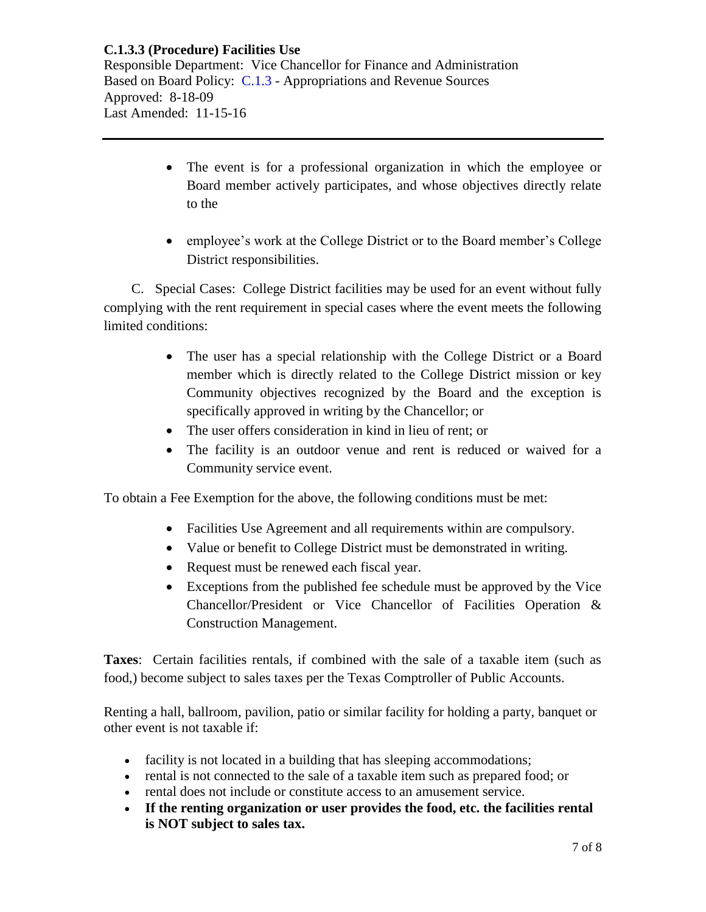**C.1.3.3 (Procedure) Facilities Use** Responsible Department: Vice Chancellor for Finance and Administration Based on Board Policy: [C.1.3](https://www.alamo.edu/siteassets/district/about-us/leadership/board-of-trustees/policies-pdfs/section-c/c.1.3-policy.pdf) - Appropriations and Revenue Sources Approved: 8-18-09 Last Amended: 11-15-16

- The event is for a professional organization in which the employee or Board member actively participates, and whose objectives directly relate to the
- employee's work at the College District or to the Board member's College District responsibilities.

 C. Special Cases: College District facilities may be used for an event without fully complying with the rent requirement in special cases where the event meets the following limited conditions:

- The user has a special relationship with the College District or a Board member which is directly related to the College District mission or key Community objectives recognized by the Board and the exception is specifically approved in writing by the Chancellor; or
- The user offers consideration in kind in lieu of rent; or
- The facility is an outdoor venue and rent is reduced or waived for a Community service event.

To obtain a Fee Exemption for the above, the following conditions must be met:

- Facilities Use Agreement and all requirements within are compulsory.
- Value or benefit to College District must be demonstrated in writing.
- Request must be renewed each fiscal year.
- Exceptions from the published fee schedule must be approved by the Vice Chancellor/President or Vice Chancellor of Facilities Operation & Construction Management.

**Taxes**: Certain facilities rentals, if combined with the sale of a taxable item (such as food,) become subject to sales taxes per the Texas Comptroller of Public Accounts.

Renting a hall, ballroom, pavilion, patio or similar facility for holding a party, banquet or other event is not taxable if:

- facility is not located in a building that has sleeping accommodations;
- rental is not connected to the sale of a taxable item such as prepared food; or
- rental does not include or constitute access to an amusement service.
- **If the renting organization or user provides the food, etc. the facilities rental is NOT subject to sales tax.**